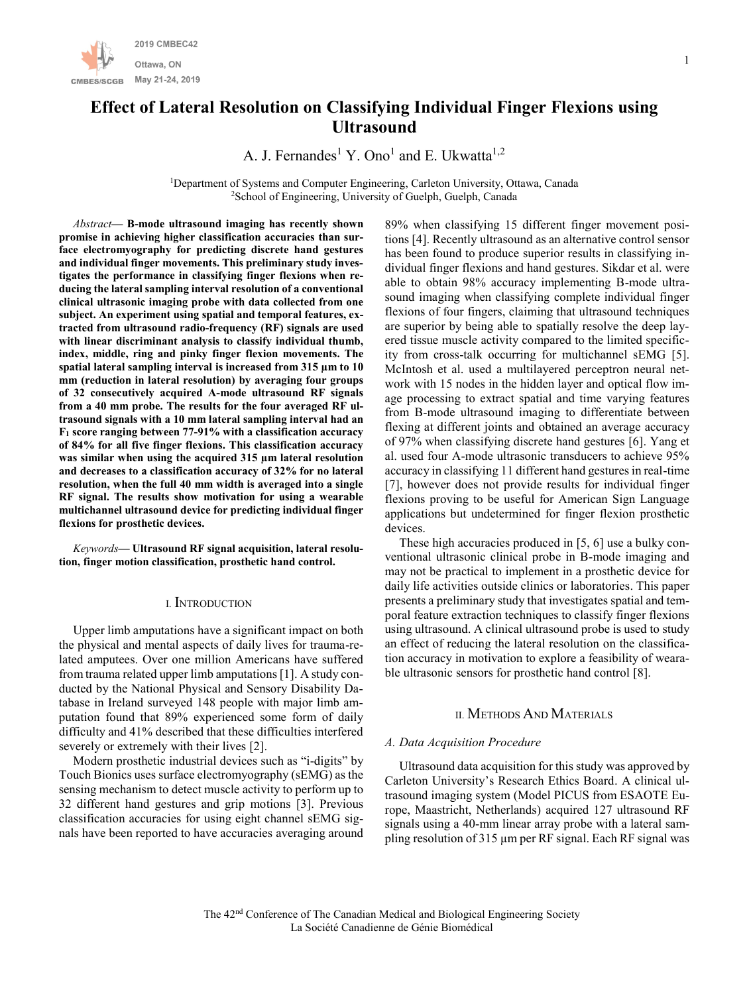

# **Effect of Lateral Resolution on Classifying Individual Finger Flexions using Ultrasound**

A. J. Fernandes<sup>1</sup> Y. Ono<sup>1</sup> and E. Ukwatta<sup>1,2</sup>

<sup>1</sup>Department of Systems and Computer Engineering, Carleton University, Ottawa, Canada <sup>2</sup>School of Engineering, University of Guelph, Guelph, Canada

*Abstract***— B-mode ultrasound imaging has recently shown promise in achieving higher classification accuracies than surface electromyography for predicting discrete hand gestures and individual finger movements. This preliminary study investigates the performance in classifying finger flexions when reducing the lateral sampling interval resolution of a conventional clinical ultrasonic imaging probe with data collected from one subject. An experiment using spatial and temporal features, extracted from ultrasound radio-frequency (RF) signals are used with linear discriminant analysis to classify individual thumb, index, middle, ring and pinky finger flexion movements. The spatial lateral sampling interval is increased from 315 µm to 10 mm (reduction in lateral resolution) by averaging four groups of 32 consecutively acquired A-mode ultrasound RF signals from a 40 mm probe. The results for the four averaged RF ultrasound signals with a 10 mm lateral sampling interval had an F<sup>1</sup> score ranging between 77-91% with a classification accuracy of 84% for all five finger flexions. This classification accuracy was similar when using the acquired 315 µm lateral resolution and decreases to a classification accuracy of 32% for no lateral resolution, when the full 40 mm width is averaged into a single RF signal. The results show motivation for using a wearable multichannel ultrasound device for predicting individual finger flexions for prosthetic devices.**

*Keywords***— Ultrasound RF signal acquisition, lateral resolution, finger motion classification, prosthetic hand control.**

### I. INTRODUCTION

Upper limb amputations have a significant impact on both the physical and mental aspects of daily lives for trauma-related amputees. Over one million Americans have suffered from trauma related upper limb amputations [1]. A study conducted by the National Physical and Sensory Disability Database in Ireland surveyed 148 people with major limb amputation found that 89% experienced some form of daily difficulty and 41% described that these difficulties interfered severely or extremely with their lives [2].

Modern prosthetic industrial devices such as "i-digits" by Touch Bionics uses surface electromyography (sEMG) as the sensing mechanism to detect muscle activity to perform up to 32 different hand gestures and grip motions [3]. Previous classification accuracies for using eight channel sEMG signals have been reported to have accuracies averaging around 89% when classifying 15 different finger movement positions [4]. Recently ultrasound as an alternative control sensor has been found to produce superior results in classifying individual finger flexions and hand gestures. Sikdar et al. were able to obtain 98% accuracy implementing B-mode ultrasound imaging when classifying complete individual finger flexions of four fingers, claiming that ultrasound techniques are superior by being able to spatially resolve the deep layered tissue muscle activity compared to the limited specificity from cross-talk occurring for multichannel sEMG [5]. McIntosh et al. used a multilayered perceptron neural network with 15 nodes in the hidden layer and optical flow image processing to extract spatial and time varying features from B-mode ultrasound imaging to differentiate between flexing at different joints and obtained an average accuracy of 97% when classifying discrete hand gestures [6]. Yang et al. used four A-mode ultrasonic transducers to achieve 95% accuracy in classifying 11 different hand gestures in real-time [7], however does not provide results for individual finger flexions proving to be useful for American Sign Language applications but undetermined for finger flexion prosthetic devices.

These high accuracies produced in [5, 6] use a bulky conventional ultrasonic clinical probe in B-mode imaging and may not be practical to implement in a prosthetic device for daily life activities outside clinics or laboratories. This paper presents a preliminary study that investigates spatial and temporal feature extraction techniques to classify finger flexions using ultrasound. A clinical ultrasound probe is used to study an effect of reducing the lateral resolution on the classification accuracy in motivation to explore a feasibility of wearable ultrasonic sensors for prosthetic hand control [8].

# II. METHODS AND MATERIALS

## *A. Data Acquisition Procedure*

Ultrasound data acquisition for this study was approved by Carleton University's Research Ethics Board. A clinical ultrasound imaging system (Model PICUS from ESAOTE Europe, Maastricht, Netherlands) acquired 127 ultrasound RF signals using a 40-mm linear array probe with a lateral sampling resolution of 315 µm per RF signal. Each RF signal was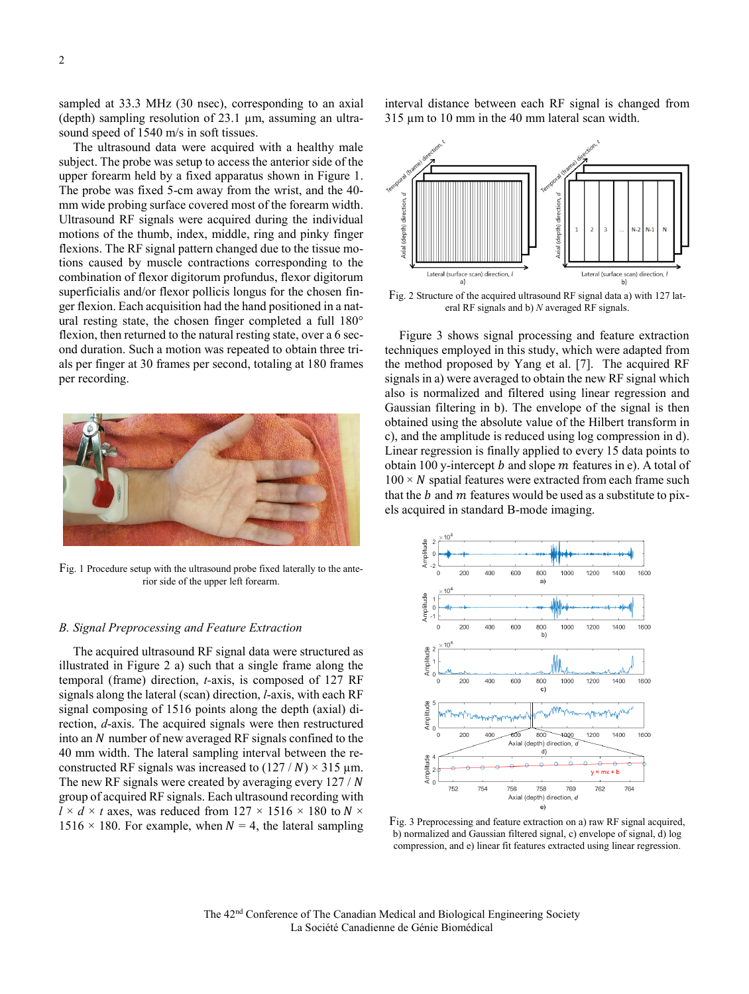sampled at 33.3 MHz (30 nsec), corresponding to an axial (depth) sampling resolution of 23.1 µm, assuming an ultrasound speed of 1540 m/s in soft tissues.

The ultrasound data were acquired with a healthy male subject. The probe was setup to access the anterior side of the upper forearm held by a fixed apparatus shown in Figure 1. The probe was fixed 5-cm away from the wrist, and the 40 mm wide probing surface covered most of the forearm width. Ultrasound RF signals were acquired during the individual motions of the thumb, index, middle, ring and pinky finger flexions. The RF signal pattern changed due to the tissue motions caused by muscle contractions corresponding to the combination of flexor digitorum profundus, flexor digitorum superficialis and/or flexor pollicis longus for the chosen finger flexion. Each acquisition had the hand positioned in a natural resting state, the chosen finger completed a full 180° flexion, then returned to the natural resting state, over a 6 second duration. Such a motion was repeated to obtain three trials per finger at 30 frames per second, totaling at 180 frames per recording.



Fig. 1 Procedure setup with the ultrasound probe fixed laterally to the anterior side of the upper left forearm.

## *B. Signal Preprocessing and Feature Extraction*

The acquired ultrasound RF signal data were structured as illustrated in Figure 2 a) such that a single frame along the temporal (frame) direction, *t-*axis, is composed of 127 RF signals along the lateral (scan) direction, *l*-axis, with each RF signal composing of 1516 points along the depth (axial) direction, *d*-axis. The acquired signals were then restructured into an  $N$  number of new averaged RF signals confined to the 40 mm width. The lateral sampling interval between the reconstructed RF signals was increased to  $(127/N) \times 315$  µm. The new RF signals were created by averaging every  $127 / N$ group of acquired RF signals. Each ultrasound recording with  $l \times d \times t$  axes, was reduced from 127  $\times$  1516  $\times$  180 to N  $\times$  $1516 \times 180$ . For example, when  $N = 4$ , the lateral sampling interval distance between each RF signal is changed from 315 µm to 10 mm in the 40 mm lateral scan width.



Fig. 2 Structure of the acquired ultrasound RF signal data a) with 127 lateral RF signals and b) *N* averaged RF signals.

Figure 3 shows signal processing and feature extraction techniques employed in this study, which were adapted from the method proposed by Yang et al. [7]. The acquired RF signals in a) were averaged to obtain the new RF signal which also is normalized and filtered using linear regression and Gaussian filtering in b). The envelope of the signal is then obtained using the absolute value of the Hilbert transform in c), and the amplitude is reduced using log compression in d). Linear regression is finally applied to every 15 data points to obtain 100 y-intercept  $b$  and slope  $m$  features in e). A total of  $100 \times N$  spatial features were extracted from each frame such that the  $b$  and  $m$  features would be used as a substitute to pixels acquired in standard B-mode imaging.



Fig. 3 Preprocessing and feature extraction on a) raw RF signal acquired, b) normalized and Gaussian filtered signal, c) envelope of signal, d) log compression, and e) linear fit features extracted using linear regression.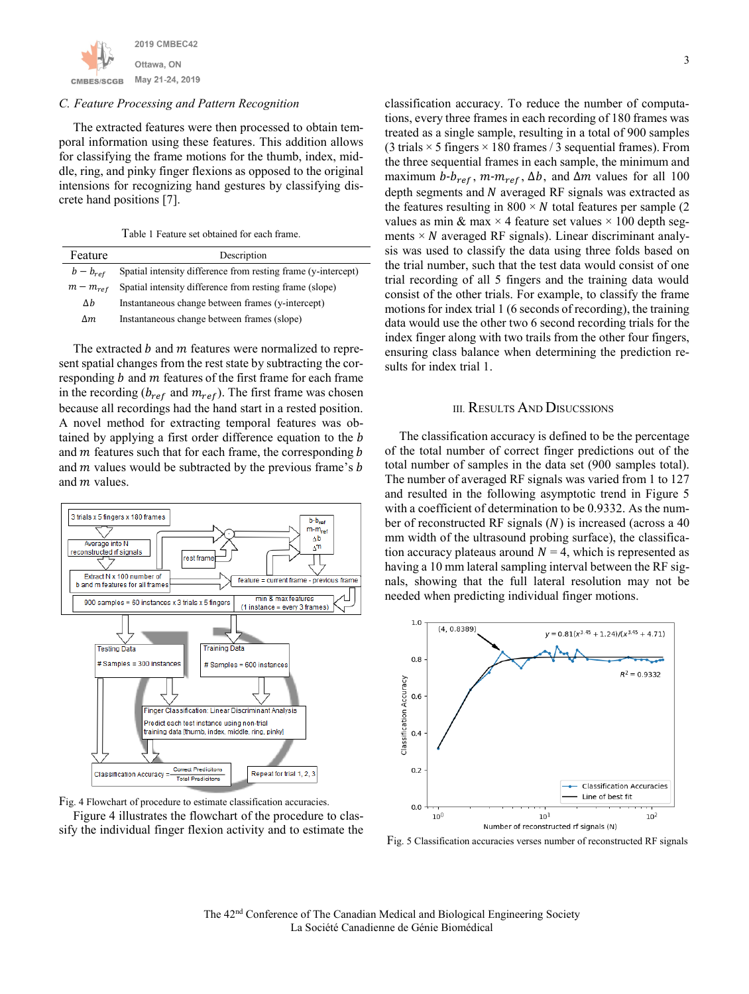

#### *C. Feature Processing and Pattern Recognition*

The extracted features were then processed to obtain temporal information using these features. This addition allows for classifying the frame motions for the thumb, index, middle, ring, and pinky finger flexions as opposed to the original intensions for recognizing hand gestures by classifying discrete hand positions [7].

Table 1 Feature set obtained for each frame.

| Feature       | Description                                                   |  |
|---------------|---------------------------------------------------------------|--|
| $b - b_{ref}$ | Spatial intensity difference from resting frame (y-intercept) |  |
| $m - m_{ref}$ | Spatial intensity difference from resting frame (slope)       |  |
| Δh            | Instantaneous change between frames (y-intercept)             |  |
| Δm            | Instantaneous change between frames (slope)                   |  |

The extracted  $b$  and  $m$  features were normalized to represent spatial changes from the rest state by subtracting the corresponding  $b$  and  $m$  features of the first frame for each frame in the recording ( $b_{ref}$  and  $m_{ref}$ ). The first frame was chosen because all recordings had the hand start in a rested position. A novel method for extracting temporal features was obtained by applying a first order difference equation to the *b* and  $m$  features such that for each frame, the corresponding  $b$ and  $m$  values would be subtracted by the previous frame's  $b$ and  *values.* 





sify the individual finger flexion activity and to estimate the

classification accuracy. To reduce the number of computations, every three frames in each recording of 180 frames was treated as a single sample, resulting in a total of 900 samples (3 trials  $\times$  5 fingers  $\times$  180 frames / 3 sequential frames). From the three sequential frames in each sample, the minimum and maximum  $b$ - $b_{ref}$ ,  $m$ - $m_{ref}$ ,  $\Delta b$ , and  $\Delta m$  values for all 100 depth segments and  $N$  averaged RF signals was extracted as the features resulting in  $800 \times N$  total features per sample (2) values as min & max  $\times$  4 feature set values  $\times$  100 depth segments  $\times N$  averaged RF signals). Linear discriminant analysis was used to classify the data using three folds based on the trial number, such that the test data would consist of one trial recording of all 5 fingers and the training data would consist of the other trials. For example, to classify the frame motions for index trial 1 (6 seconds of recording), the training data would use the other two 6 second recording trials for the index finger along with two trails from the other four fingers, ensuring class balance when determining the prediction results for index trial 1.

## III. RESULTS AND DISUCSSIONS

The classification accuracy is defined to be the percentage of the total number of correct finger predictions out of the total number of samples in the data set (900 samples total). The number of averaged RF signals was varied from 1 to 127 and resulted in the following asymptotic trend in Figure 5 with a coefficient of determination to be 0.9332. As the number of reconstructed RF signals  $(N)$  is increased (across a 40 mm width of the ultrasound probing surface), the classification accuracy plateaus around  $N = 4$ , which is represented as having a 10 mm lateral sampling interval between the RF signals, showing that the full lateral resolution may not be needed when predicting individual finger motions.



Fig. 5 Classification accuracies verses number of reconstructed RF signals